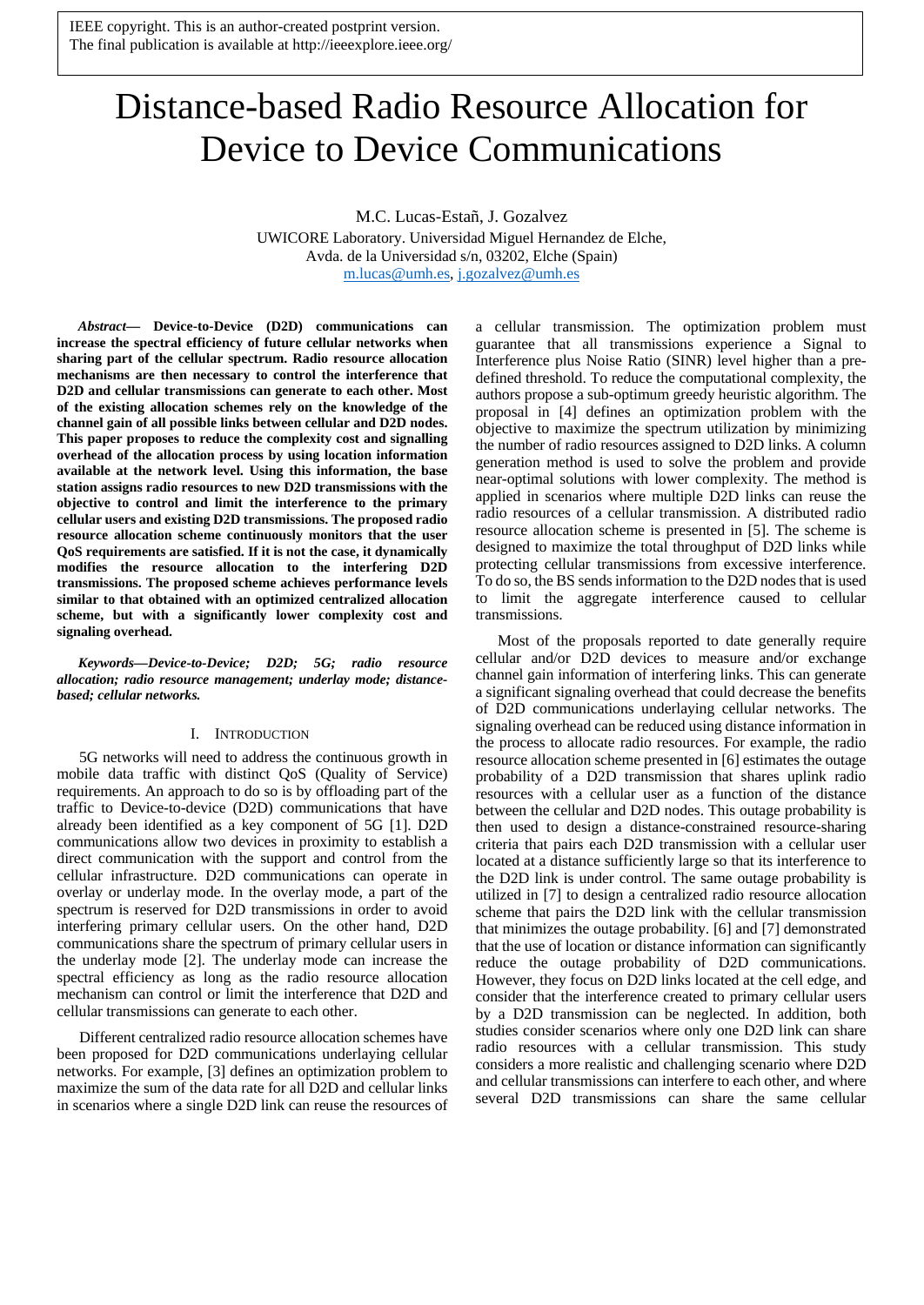IEEE copyright. This is an author-created postprint version. The final publication is available at http://ieeexplore.ieee.org/

# Distance-based Radio Resource Allocation for Device to Device Communications

M.C. Lucas-Estañ, J. Gozalvez

UWICORE Laboratory. Universidad Miguel Hernandez de Elche, Avda. de la Universidad s/n, 03202, Elche (Spain) [m.lucas@umh.es,](mailto:m.lucas@umh.es) [j.gozalvez@umh.es](mailto:j.gozalvez@umh.es)

*Abstract***— Device-to-Device (D2D) communications can increase the spectral efficiency of future cellular networks when sharing part of the cellular spectrum. Radio resource allocation mechanisms are then necessary to control the interference that D2D and cellular transmissions can generate to each other. Most of the existing allocation schemes rely on the knowledge of the channel gain of all possible links between cellular and D2D nodes. This paper proposes to reduce the complexity cost and signalling overhead of the allocation process by using location information available at the network level. Using this information, the base station assigns radio resources to new D2D transmissions with the objective to control and limit the interference to the primary cellular users and existing D2D transmissions. The proposed radio resource allocation scheme continuously monitors that the user QoS requirements are satisfied. If it is not the case, it dynamically modifies the resource allocation to the interfering D2D transmissions. The proposed scheme achieves performance levels similar to that obtained with an optimized centralized allocation scheme, but with a significantly lower complexity cost and signaling overhead.**

*Keywords—Device-to-Device; D2D; 5G; radio resource allocation; radio resource management; underlay mode; distancebased; cellular networks.*

### I. INTRODUCTION

5G networks will need to address the continuous growth in mobile data traffic with distinct QoS (Quality of Service) requirements. An approach to do so is by offloading part of the traffic to Device-to-device (D2D) communications that have already been identified as a key component of 5G [\[1\].](#page-4-0) D2D communications allow two devices in proximity to establish a direct communication with the support and control from the cellular infrastructure. D2D communications can operate in overlay or underlay mode. In the overlay mode, a part of the spectrum is reserved for D2D transmissions in order to avoid interfering primary cellular users. On the other hand, D2D communications share the spectrum of primary cellular users in the underlay mode [\[2\].](#page-4-1) The underlay mode can increase the spectral efficiency as long as the radio resource allocation mechanism can control or limit the interference that D2D and cellular transmissions can generate to each other.

Different centralized radio resource allocation schemes have been proposed for D2D communications underlaying cellular networks. For example, [\[3\]](#page-4-2) defines an optimization problem to maximize the sum of the data rate for all D2D and cellular links in scenarios where a single D2D link can reuse the resources of a cellular transmission. The optimization problem must guarantee that all transmissions experience a Signal to Interference plus Noise Ratio (SINR) level higher than a predefined threshold. To reduce the computational complexity, the authors propose a sub-optimum greedy heuristic algorithm. The proposal in [\[4\]](#page-4-3) defines an optimization problem with the objective to maximize the spectrum utilization by minimizing the number of radio resources assigned to D2D links. A column generation method is used to solve the problem and provide near-optimal solutions with lower complexity. The method is applied in scenarios where multiple D2D links can reuse the radio resources of a cellular transmission. A distributed radio resource allocation scheme is presented in [\[5\].](#page-4-4) The scheme is designed to maximize the total throughput of D2D links while protecting cellular transmissions from excessive interference. To do so, the BS sends information to the D2D nodes that is used to limit the aggregate interference caused to cellular transmissions.

Most of the proposals reported to date generally require cellular and/or D2D devices to measure and/or exchange channel gain information of interfering links. This can generate a significant signaling overhead that could decrease the benefits of D2D communications underlaying cellular networks. The signaling overhead can be reduced using distance information in the process to allocate radio resources. For example, the radio resource allocation scheme presented i[n \[6\]](#page-4-5) estimates the outage probability of a D2D transmission that shares uplink radio resources with a cellular user as a function of the distance between the cellular and D2D nodes. This outage probability is then used to design a distance-constrained resource-sharing criteria that pairs each D2D transmission with a cellular user located at a distance sufficiently large so that its interference to the D2D link is under control. The same outage probability is utilized in [\[7\]](#page-4-6) to design a centralized radio resource allocation scheme that pairs the D2D link with the cellular transmission that minimizes the outage probability. [\[6\]](#page-4-5) and [\[7\]](#page-4-6) demonstrated that the use of location or distance information can significantly reduce the outage probability of D2D communications. However, they focus on D2D links located at the cell edge, and consider that the interference created to primary cellular users by a D2D transmission can be neglected. In addition, both studies consider scenarios where only one D2D link can share radio resources with a cellular transmission. This study considers a more realistic and challenging scenario where D2D and cellular transmissions can interfere to each other, and where several D2D transmissions can share the same cellular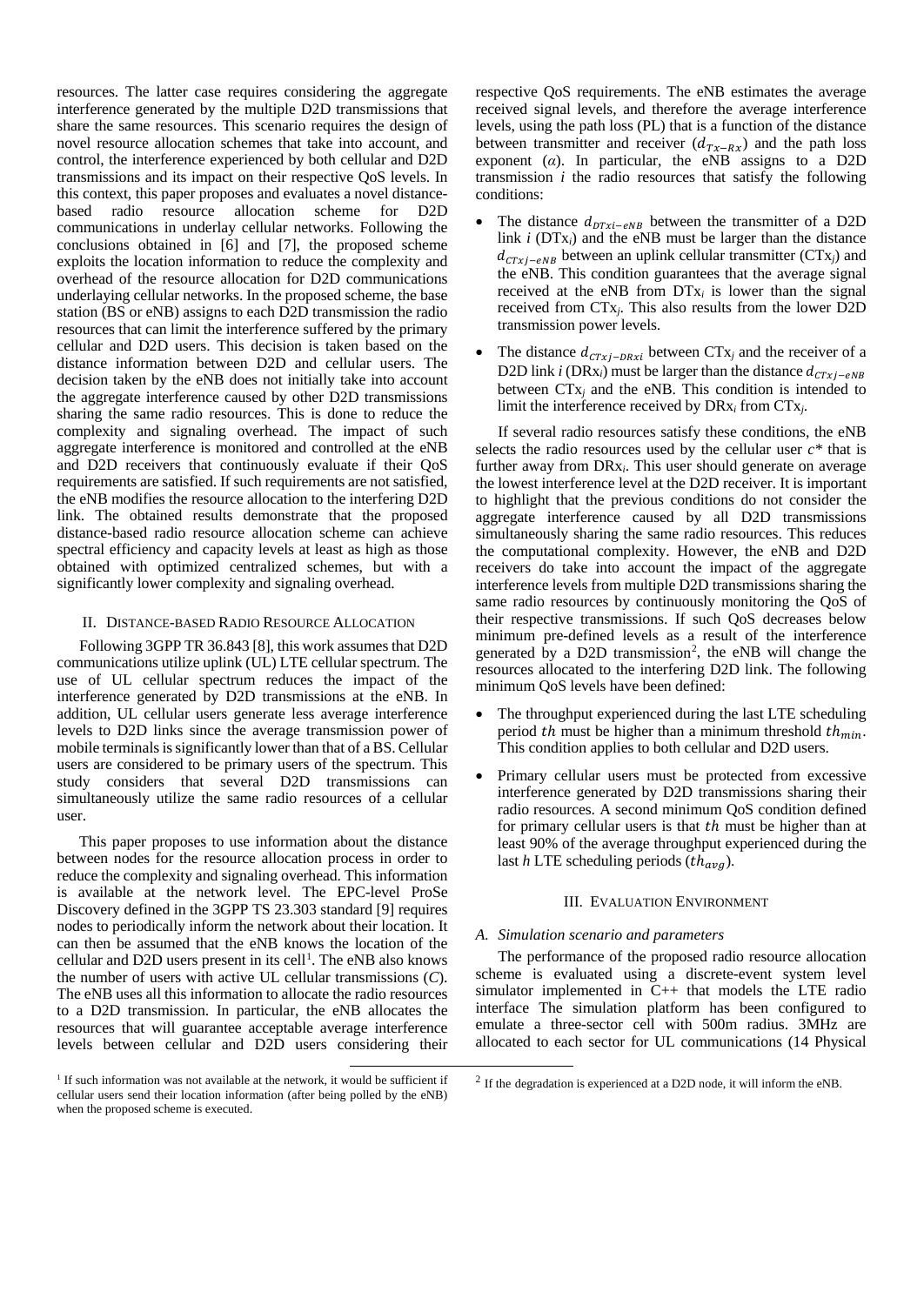resources. The latter case requires considering the aggregate interference generated by the multiple D2D transmissions that share the same resources. This scenario requires the design of novel resource allocation schemes that take into account, and control, the interference experienced by both cellular and D2D transmissions and its impact on their respective QoS levels. In this context, this paper proposes and evaluates a novel distancebased radio resource allocation scheme for D2D communications in underlay cellular networks. Following the conclusions obtained in [6] and [7], the proposed scheme exploits the location information to reduce the complexity and overhead of the resource allocation for D2D communications underlaying cellular networks. In the proposed scheme, the base station (BS or eNB) assigns to each D2D transmission the radio resources that can limit the interference suffered by the primary cellular and D2D users. This decision is taken based on the distance information between D2D and cellular users. The decision taken by the eNB does not initially take into account the aggregate interference caused by other D2D transmissions sharing the same radio resources. This is done to reduce the complexity and signaling overhead. The impact of such aggregate interference is monitored and controlled at the eNB and D2D receivers that continuously evaluate if their QoS requirements are satisfied. If such requirements are not satisfied, the eNB modifies the resource allocation to the interfering D2D link. The obtained results demonstrate that the proposed distance-based radio resource allocation scheme can achieve spectral efficiency and capacity levels at least as high as those obtained with optimized centralized schemes, but with a significantly lower complexity and signaling overhead.

## II. DISTANCE-BASED RADIO RESOURCE ALLOCATION

Following 3GPP TR 36.843 [\[8\],](#page-4-7) this work assumes that D2D communications utilize uplink (UL) LTE cellular spectrum. The use of UL cellular spectrum reduces the impact of the interference generated by D2D transmissions at the eNB. In addition, UL cellular users generate less average interference levels to D2D links since the average transmission power of mobile terminals is significantly lower than that of a BS. Cellular users are considered to be primary users of the spectrum. This study considers that several D2D transmissions can simultaneously utilize the same radio resources of a cellular user.

This paper proposes to use information about the distance between nodes for the resource allocation process in order to reduce the complexity and signaling overhead. This information is available at the network level. The EPC-level ProSe Discovery defined in the 3GPP TS 23.303 standard [\[9\]](#page-4-8) requires nodes to periodically inform the network about their location. It can then be assumed that the eNB knows the location of the cellular and D2D users present in its cell<sup>[1](#page-1-0)</sup>. The eNB also knows the number of users with active UL cellular transmissions (*C*). The eNB uses all this information to allocate the radio resources to a D2D transmission. In particular, the eNB allocates the resources that will guarantee acceptable average interference levels between cellular and D2D users considering their

respective QoS requirements. The eNB estimates the average received signal levels, and therefore the average interference levels, using the path loss (PL) that is a function of the distance between transmitter and receiver  $(d_{Tx-Rx})$  and the path loss exponent ( $\alpha$ ). In particular, the eNB assigns to a D2D transmission *i* the radio resources that satisfy the following conditions:

- The distance  $d_{DTxi-eNB}$  between the transmitter of a D2D link *i* (DTx*i*) and the eNB must be larger than the distance  $d_{CTxj-eNB}$  between an uplink cellular transmitter (CTx<sub>j</sub>) and the eNB. This condition guarantees that the average signal received at the eNB from  $DTx_i$  is lower than the signal received from CTx*j*. This also results from the lower D2D transmission power levels.
- The distance  $d_{CTxj-DRxi}$  between CT<sub>x</sub>*j* and the receiver of a D2D link *i* (DRx<sub>i</sub>) must be larger than the distance  $d_{CTxi-eNB}$ between CTx*<sup>j</sup>* and the eNB. This condition is intended to limit the interference received by DRx*<sup>i</sup>* from CTx*j*.

If several radio resources satisfy these conditions, the eNB selects the radio resources used by the cellular user *c\** that is further away from DRx*i*. This user should generate on average the lowest interference level at the D2D receiver. It is important to highlight that the previous conditions do not consider the aggregate interference caused by all D2D transmissions simultaneously sharing the same radio resources. This reduces the computational complexity. However, the eNB and D2D receivers do take into account the impact of the aggregate interference levels from multiple D2D transmissions sharing the same radio resources by continuously monitoring the QoS of their respective transmissions. If such QoS decreases below minimum pre-defined levels as a result of the interference generated by a D[2](#page-1-0)D transmission<sup>2</sup>, the eNB will change the resources allocated to the interfering D2D link. The following minimum QoS levels have been defined:

- The throughput experienced during the last LTE scheduling period th must be higher than a minimum threshold  $th_{min}$ . This condition applies to both cellular and D2D users.
- Primary cellular users must be protected from excessive interference generated by D2D transmissions sharing their radio resources. A second minimum QoS condition defined for primary cellular users is that  $th$  must be higher than at least 90% of the average throughput experienced during the last  $h$  LTE scheduling periods  $(th_{avg})$ .

## III. EVALUATION ENVIRONMENT

### *A. Simulation scenario and parameters*

The performance of the proposed radio resource allocation scheme is evaluated using a discrete-event system level simulator implemented in C++ that models the LTE radio interface The simulation platform has been configured to emulate a three-sector cell with 500m radius. 3MHz are allocated to each sector for UL communications (14 Physical

<span id="page-1-0"></span><sup>&</sup>lt;sup>1</sup> If such information was not available at the network, it would be sufficient if cellular users send their location information (after being polled by the eNB) when the proposed scheme is executed.

 $^{2}$  If the degradation is experienced at a D2D node, it will inform the eNB.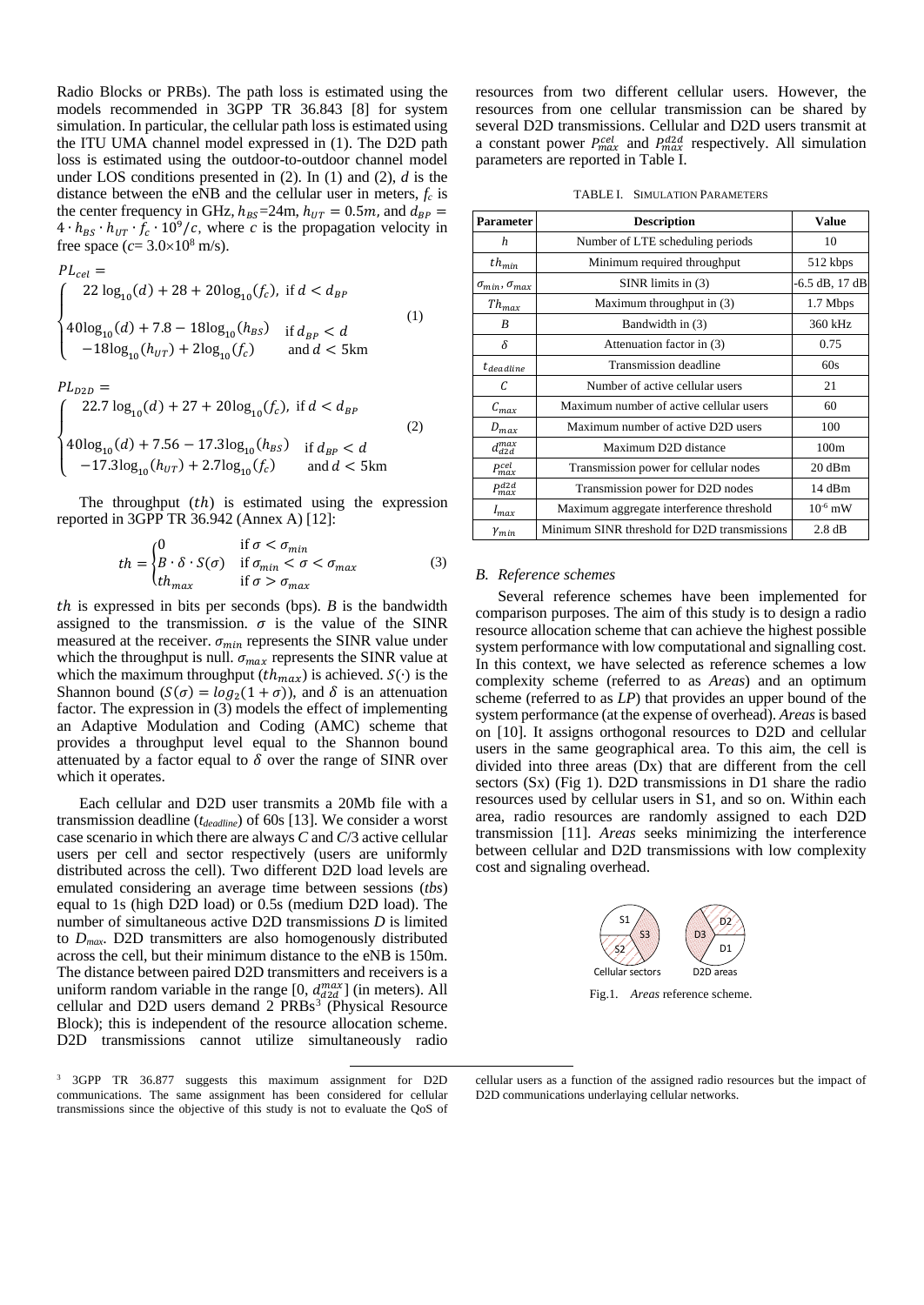Radio Blocks or PRBs). The path loss is estimated using the models recommended in 3GPP TR 36.843 [\[8\]](#page-4-7) for system simulation. In particular, the cellular path loss is estimated using the ITU UMA channel model expressed in (1). The D2D path loss is estimated using the outdoor-to-outdoor channel model under LOS conditions presented in (2). In (1) and (2), *d* is the distance between the eNB and the cellular user in meters,  $f_c$  is the center frequency in GHz,  $h_{BS} = 24$ m,  $h_{UT} = 0.5$ m, and  $d_{BP} =$  $4 \cdot h_{BS} \cdot h_{UT} \cdot f_c \cdot 10^9/c$ , where *c* is the propagation velocity in free space  $(c=3.0\times10^8 \text{ m/s})$ .

$$
PL_{cel} = \n\begin{cases}\n22 \log_{10}(d) + 28 + 20 \log_{10}(f_c), & \text{if } d < d_{BP} \\
40 \log_{10}(d) + 7.8 - 18 \log_{10}(h_{BS}) & \text{if } d_{BP} < d \\
-18 \log_{10}(h_{UT}) + 2 \log_{10}(f_c) & \text{and } d < 5 \text{km}\n\end{cases} \tag{1}
$$

$$
PL_{D2D} = \n\begin{cases}\n22.7 \log_{10}(d) + 27 + 20 \log_{10}(f_c), & \text{if } d < d_{BP} \\
40 \log_{10}(d) + 7.56 - 17.3 \log_{10}(h_{BS}) & \text{if } d_{BP} < d \\
-17.3 \log_{10}(h_{UT}) + 2.7 \log_{10}(f_c) & \text{and } d < 5 \text{km}\n\end{cases}\n\tag{2}
$$

The throughput  $(th)$  is estimated using the expression reported in 3GPP TR 36.942 (Annex A) [\[12\]:](#page-4-9)

$$
th = \begin{cases} 0 & \text{if } \sigma < \sigma_{min} \\ B \cdot \delta \cdot S(\sigma) & \text{if } \sigma_{min} < \sigma < \sigma_{max} \\ th_{max} & \text{if } \sigma > \sigma_{max} \end{cases}
$$
 (3)

ℎ is expressed in bits per seconds (bps). *B* is the bandwidth assigned to the transmission.  $\sigma$  is the value of the SINR measured at the receiver.  $\sigma_{min}$  represents the SINR value under which the throughput is null.  $\sigma_{max}$  represents the SINR value at which the maximum throughput  $(th_{max})$  is achieved.  $S(\cdot)$  is the Shannon bound  $(S(\sigma) = log_2(1 + \sigma))$ , and  $\delta$  is an attenuation factor. The expression in (3) models the effect of implementing an Adaptive Modulation and Coding (AMC) scheme that provides a throughput level equal to the Shannon bound attenuated by a factor equal to  $\delta$  over the range of SINR over which it operates.

Each cellular and D2D user transmits a 20Mb file with a transmission deadline (*tdeadline*) of 60s [\[13\].](#page-4-10) We consider a worst case scenario in which there are always *C* and *C*/3 active cellular users per cell and sector respectively (users are uniformly distributed across the cell). Two different D2D load levels are emulated considering an average time between sessions (*tbs*) equal to 1s (high D2D load) or 0.5s (medium D2D load). The number of simultaneous active D2D transmissions *D* is limited to *Dmax*. D2D transmitters are also homogenously distributed across the cell, but their minimum distance to the eNB is 150m. The distance between paired D2D transmitters and receivers is a uniform random variable in the range [0,  $d_{d2d}^{max}$ ] (in meters). All cellular and D2D users demand 2 PRBs<sup>[3](#page-2-0)</sup> (Physical Resource Block); this is independent of the resource allocation scheme. D2D transmissions cannot utilize simultaneously radio

<span id="page-2-0"></span> 3 3GPP TR 36.877 suggests this maximum assignment for D2D communications. The same assignment has been considered for cellular transmissions since the objective of this study is not to evaluate the QoS of resources from two different cellular users. However, the resources from one cellular transmission can be shared by several D2D transmissions. Cellular and D2D users transmit at a constant power  $P_{max}^{cell}$  and  $P_{max}^{d2d}$  respectively. All simulation parameters are reported in Table I.

| <b>Parameter</b>             | <b>Description</b>                           | <b>Value</b>     |
|------------------------------|----------------------------------------------|------------------|
| $\boldsymbol{h}$             | Number of LTE scheduling periods             | 10               |
| $th_{min}$                   | Minimum required throughput                  | 512 kbps         |
| $\sigma_{min}, \sigma_{max}$ | $SINR$ limits in $(3)$                       | -6.5 dB, 17 dB   |
| $Th_{max}$                   | Maximum throughput in (3)                    | 1.7 Mbps         |
| B                            | Bandwidth in (3)                             | 360 kHz          |
| δ                            | Attenuation factor in (3)                    | 0.75             |
| $t_{deadline}$               | Transmission deadline                        | 60s              |
| C                            | Number of active cellular users              | 21               |
| $C_{max}$                    | Maximum number of active cellular users      | 60               |
| $D_{max}$                    | Maximum number of active D2D users           | 100              |
| $d_{d2d}^{max}$              | Maximum D2D distance                         | 100m             |
| P <sup>cel</sup>             | Transmission power for cellular nodes        | $20 \text{ dBm}$ |
| $P_{max}^{d2d}$              | Transmission power for D2D nodes             | $14$ dBm         |
| $l_{max}$                    | Maximum aggregate interference threshold     | $10^{-6}$ mW     |
| $\gamma_{min}$               | Minimum SINR threshold for D2D transmissions | 2.8 dB           |

#### *B. Reference schemes*

Several reference schemes have been implemented for comparison purposes. The aim of this study is to design a radio resource allocation scheme that can achieve the highest possible system performance with low computational and signalling cost. In this context, we have selected as reference schemes a low complexity scheme (referred to as *Areas*) and an optimum scheme (referred to as *LP*) that provides an upper bound of the system performance (at the expense of overhead). *Areas*is based on [\[10\].](#page-4-11) It assigns orthogonal resources to D2D and cellular users in the same geographical area. To this aim, the cell is divided into three areas (Dx) that are different from the cell sectors (Sx) (Fig 1). D2D transmissions in D1 share the radio resources used by cellular users in S1, and so on. Within each area, radio resources are randomly assigned to each D2D transmission [\[11\].](#page-4-12) *Areas* seeks minimizing the interference between cellular and D2D transmissions with low complexity cost and signaling overhead.



cellular users as a function of the assigned radio resources but the impact of D2D communications underlaying cellular networks.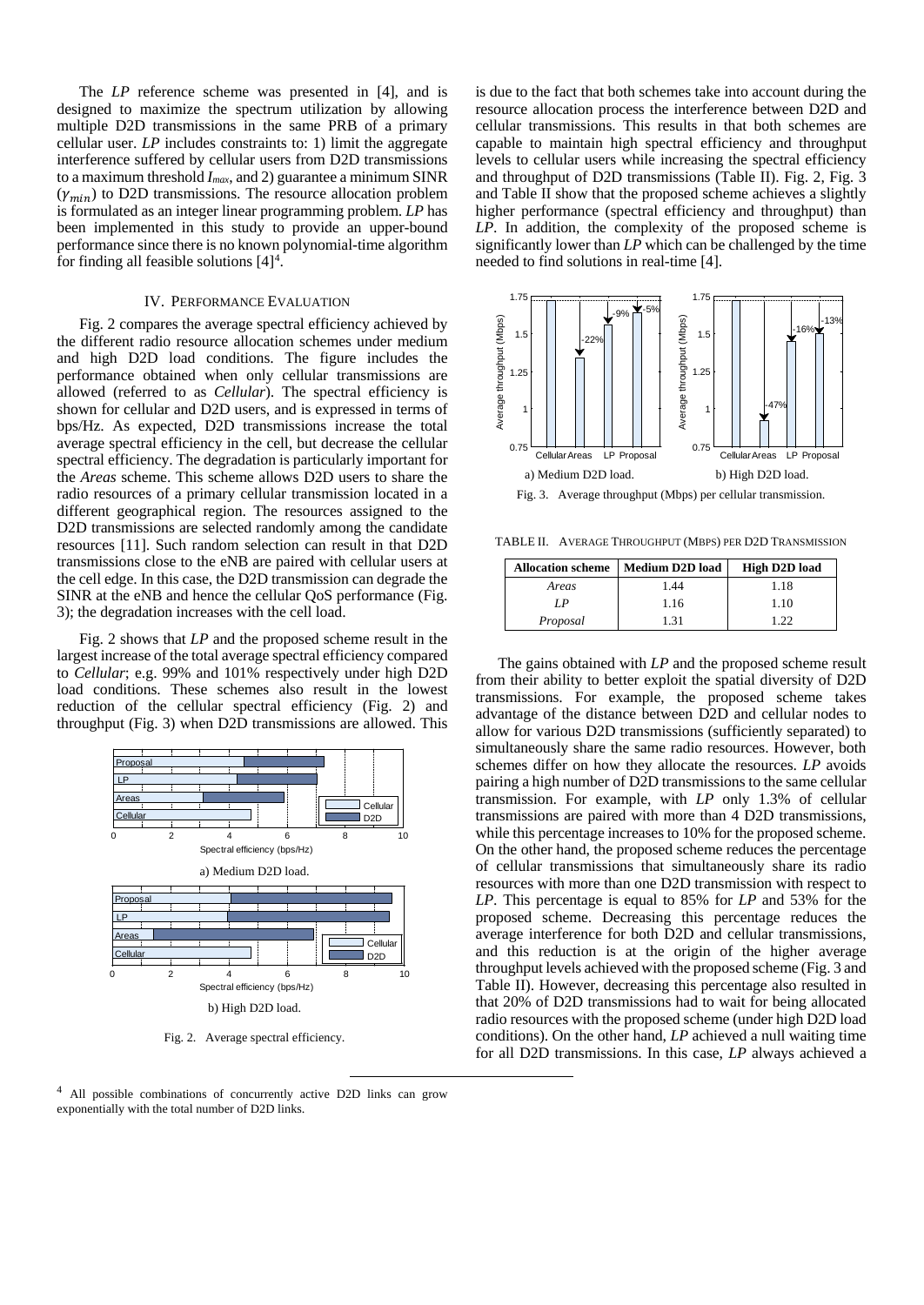The *LP* reference scheme was presented in [\[4\],](#page-4-3) and is designed to maximize the spectrum utilization by allowing multiple D2D transmissions in the same PRB of a primary cellular user. *LP* includes constraints to: 1) limit the aggregate interference suffered by cellular users from D2D transmissions to a maximum threshold *Imax*, and 2) guarantee a minimum SINR  $(\gamma_{min})$  to D2D transmissions. The resource allocation problem is formulated as an integer linear programming problem. *LP* has been implemented in this study to provide an upper-bound performance since there is no known polynomial-time algorithm for finding all feasible solutions  $[4]^4$  $[4]^4$  $[4]^4$ .

## IV. PERFORMANCE EVALUATION

Fig. 2 compares the average spectral efficiency achieved by the different radio resource allocation schemes under medium and high D2D load conditions. The figure includes the performance obtained when only cellular transmissions are allowed (referred to as *Cellular*). The spectral efficiency is shown for cellular and D2D users, and is expressed in terms of bps/Hz. As expected, D2D transmissions increase the total average spectral efficiency in the cell, but decrease the cellular spectral efficiency. The degradation is particularly important for the *Areas* scheme. This scheme allows D2D users to share the radio resources of a primary cellular transmission located in a different geographical region. The resources assigned to the D2D transmissions are selected randomly among the candidate resources [\[11\].](#page-4-12) Such random selection can result in that D2D transmissions close to the eNB are paired with cellular users at the cell edge. In this case, the D2D transmission can degrade the SINR at the eNB and hence the cellular QoS performance (Fig. 3); the degradation increases with the cell load.

Fig. 2 shows that *LP* and the proposed scheme result in the largest increase of the total average spectral efficiency compared to *Cellular*; e.g. 99% and 101% respectively under high D2D load conditions. These schemes also result in the lowest reduction of the cellular spectral efficiency (Fig. 2) and throughput (Fig. 3) when D2D transmissions are allowed. This



Fig. 2. Average spectral efficiency.

<span id="page-3-0"></span> 4 All possible combinations of concurrently active D2D links can grow exponentially with the total number of D2D links.

is due to the fact that both schemes take into account during the resource allocation process the interference between D2D and cellular transmissions. This results in that both schemes are capable to maintain high spectral efficiency and throughput levels to cellular users while increasing the spectral efficiency and throughput of D2D transmissions (Table II). Fig. 2, Fig. 3 and Table II show that the proposed scheme achieves a slightly higher performance (spectral efficiency and throughput) than *LP*. In addition, the complexity of the proposed scheme is significantly lower than *LP* which can be challenged by the time needed to find solutions in real-time [\[4\].](#page-4-3)



TABLE II. AVERAGE THROUGHPUT (MBPS) PER D2D TRANSMISSION

| <b>Allocation scheme</b> | <b>Medium D2D load</b> | High D <sub>2D</sub> load |
|--------------------------|------------------------|---------------------------|
| Areas                    | 1.44                   | 1.18                      |
| I P                      | 1.16                   | 1.10                      |
| Proposal                 | 131                    | 1 22                      |

The gains obtained with *LP* and the proposed scheme result from their ability to better exploit the spatial diversity of D2D transmissions. For example, the proposed scheme takes advantage of the distance between D2D and cellular nodes to allow for various D2D transmissions (sufficiently separated) to simultaneously share the same radio resources. However, both schemes differ on how they allocate the resources. *LP* avoids pairing a high number of D2D transmissions to the same cellular transmission. For example, with *LP* only 1.3% of cellular transmissions are paired with more than 4 D2D transmissions, while this percentage increases to 10% for the proposed scheme. On the other hand, the proposed scheme reduces the percentage of cellular transmissions that simultaneously share its radio resources with more than one D2D transmission with respect to *LP*. This percentage is equal to 85% for *LP* and 53% for the proposed scheme. Decreasing this percentage reduces the average interference for both D2D and cellular transmissions, and this reduction is at the origin of the higher average throughput levels achieved with the proposed scheme (Fig. 3 and Table II). However, decreasing this percentage also resulted in that 20% of D2D transmissions had to wait for being allocated radio resources with the proposed scheme (under high D2D load conditions). On the other hand, *LP* achieved a null waiting time for all D2D transmissions. In this case, *LP* always achieved a